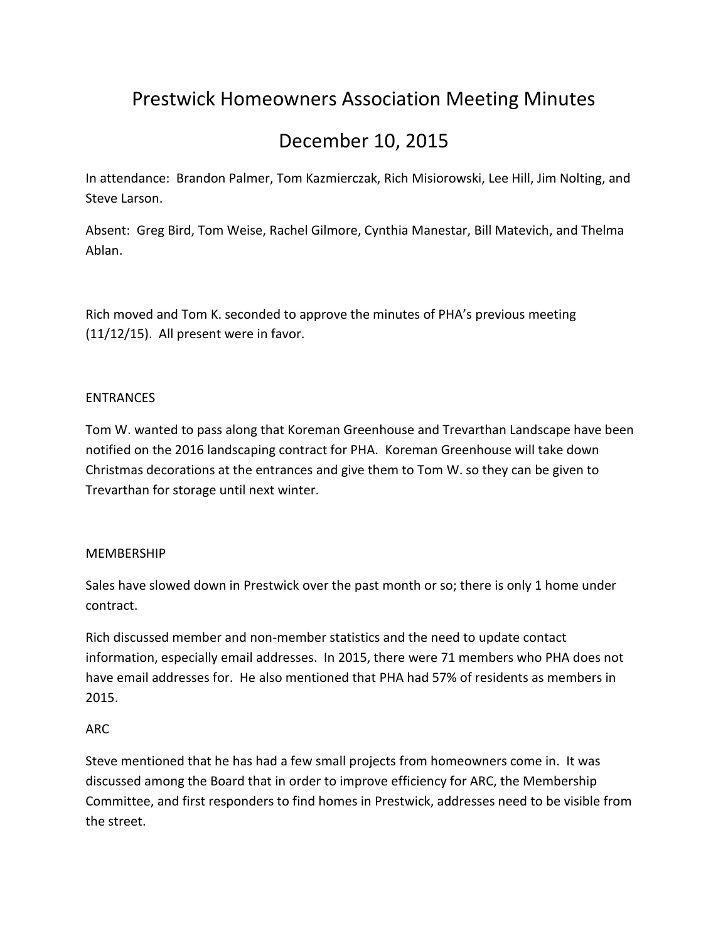# Prestwick Homeowners Association Meeting Minutes

## December 10, 2015

In attendance: Brandon Palmer, Tom Kazmierczak, Rich Misiorowski, Lee Hill, Jim Nolting, and Steve Larson.

Absent: Greg Bird, Tom Weise, Rachel Gilmore, Cynthia Manestar, Bill Matevich, and Thelma Ablan.

Rich moved and Tom K. seconded to approve the minutes of PHA's previous meeting (11/12/15). All present were in favor.

### ENTRANCES

Tom W. wanted to pass along that Koreman Greenhouse and Trevarthan Landscape have been notified on the 2016 landscaping contract for PHA. Koreman Greenhouse will take down Christmas decorations at the entrances and give them to Tom W. so they can be given to Trevarthan for storage until next winter.

### **MEMBERSHIP**

Sales have slowed down in Prestwick over the past month or so; there is only 1 home under contract.

Rich discussed member and non-member statistics and the need to update contact information, especially email addresses. In 2015, there were 71 members who PHA does not have email addresses for. He also mentioned that PHA had 57% of residents as members in 2015.

### ARC

Steve mentioned that he has had a few small projects from homeowners come in. It was discussed among the Board that in order to improve efficiency for ARC, the Membership Committee, and first responders to find homes in Prestwick, addresses need to be visible from the street.